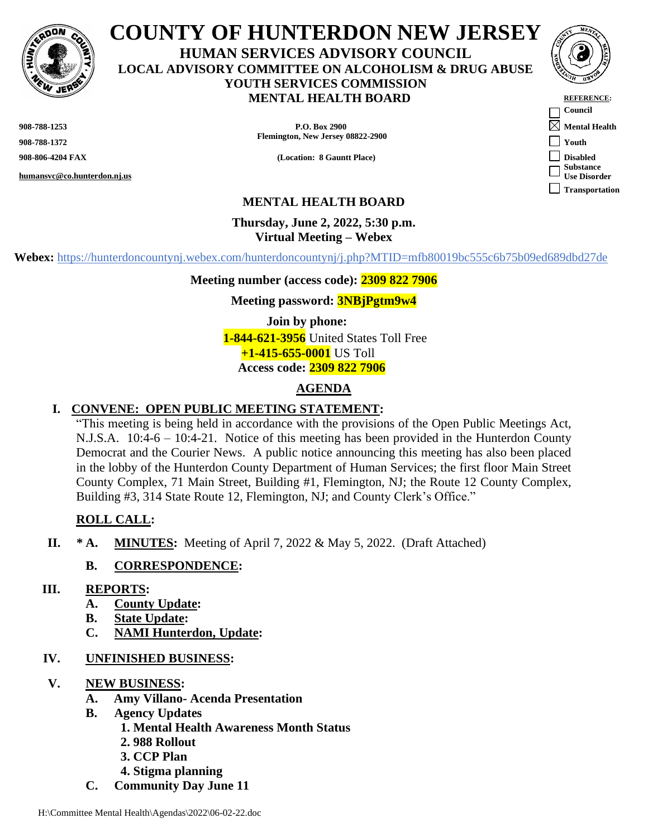

# **COUNTY OF HUNTERDON NEW JERSEY HUMAN SERVICES ADVISORY COUNCIL LOCAL ADVISORY COMMITTEE ON ALCOHOLISM & DRUG ABUSE YOUTH SERVICES COMMISSION MENTAL HEALTH BOARD**

**908-788-1372**

**humansvc@co.hunterdon.nj.us**

**908-788-1253 P.O. Box 2900 Mental Health Flemington, New Jersey 08822-2900**

**908-806-4204 FAX (Location: 8 Gauntt Place)** 



| <b>REFERENCE:</b>     |
|-----------------------|
| Council               |
| <b>Mental Health</b>  |
| <b>Youth</b>          |
| <b>Disabled</b>       |
| <b>Substance</b>      |
| <b>Use Disorder</b>   |
| <b>Transportation</b> |

# **MENTAL HEALTH BOARD**

#### **Thursday, June 2, 2022, 5:30 p.m. Virtual Meeting – Webex**

**Webex:** https://hunterdoncountynj.webex.com/hunterdoncountynj/j.php?MTID=mfb80019bc555c6b75b09ed689dbd27de

**Meeting number (access code): 2309 822 7906**

**Meeting password: 3NBjPgtm9w4**

**Join by phone: 1-844-621-3956** United States Toll Free **+1-415-655-0001** US Toll **Access code: 2309 822 7906**

# **AGENDA**

### **I. CONVENE: OPEN PUBLIC MEETING STATEMENT:**

"This meeting is being held in accordance with the provisions of the Open Public Meetings Act, N.J.S.A. 10:4-6 – 10:4-21. Notice of this meeting has been provided in the Hunterdon County Democrat and the Courier News. A public notice announcing this meeting has also been placed in the lobby of the Hunterdon County Department of Human Services; the first floor Main Street County Complex, 71 Main Street, Building #1, Flemington, NJ; the Route 12 County Complex, Building #3, 314 State Route 12, Flemington, NJ; and County Clerk's Office."

# **ROLL CALL:**

**II. \* A. MINUTES:** Meeting of April 7, 2022 & May 5, 2022. (Draft Attached)

#### **B. CORRESPONDENCE:**

#### **III. REPORTS:**

- **A. County Update:**
- **B. State Update:**
- **C. NAMI Hunterdon, Update:**

### **IV. UNFINISHED BUSINESS:**

- **V. NEW BUSINESS:**
	- **A. Amy Villano- Acenda Presentation**
	- **B. Agency Updates**
		- **1. Mental Health Awareness Month Status**
			- **2. 988 Rollout**
			- **3. CCP Plan**
		- **4. Stigma planning**
	- **C. Community Day June 11**